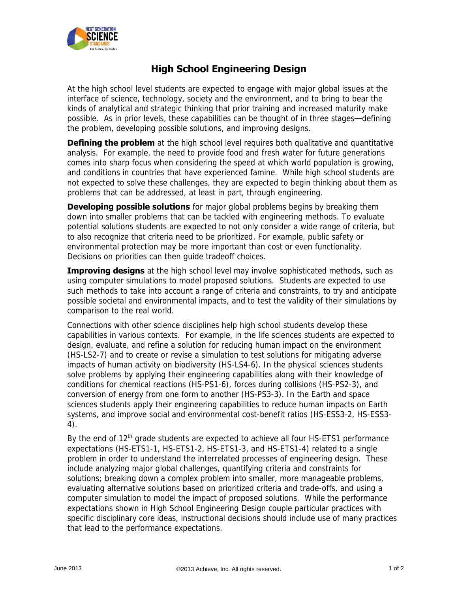

## **High School Engineering Design**

At the high school level students are expected to engage with major global issues at the interface of science, technology, society and the environment, and to bring to bear the kinds of analytical and strategic thinking that prior training and increased maturity make possible. As in prior levels, these capabilities can be thought of in three stages—defining the problem, developing possible solutions, and improving designs.

**Defining the problem** at the high school level requires both qualitative and quantitative analysis. For example, the need to provide food and fresh water for future generations comes into sharp focus when considering the speed at which world population is growing, and conditions in countries that have experienced famine. While high school students are not expected to solve these challenges, they are expected to begin thinking about them as problems that can be addressed, at least in part, through engineering.

**Developing possible solutions** for major global problems begins by breaking them down into smaller problems that can be tackled with engineering methods. To evaluate potential solutions students are expected to not only consider a wide range of criteria, but to also recognize that criteria need to be prioritized. For example, public safety or environmental protection may be more important than cost or even functionality. Decisions on priorities can then guide tradeoff choices.

**Improving designs** at the high school level may involve sophisticated methods, such as using computer simulations to model proposed solutions. Students are expected to use such methods to take into account a range of criteria and constraints, to try and anticipate possible societal and environmental impacts, and to test the validity of their simulations by comparison to the real world.

Connections with other science disciplines help high school students develop these capabilities in various contexts. For example, in the life sciences students are expected to design, evaluate, and refine a solution for reducing human impact on the environment (HS-LS2-7) and to create or revise a simulation to test solutions for mitigating adverse impacts of human activity on biodiversity (HS-LS4-6). In the physical sciences students solve problems by applying their engineering capabilities along with their knowledge of conditions for chemical reactions (HS-PS1-6), forces during collisions (HS-PS2-3), and conversion of energy from one form to another (HS-PS3-3). In the Earth and space sciences students apply their engineering capabilities to reduce human impacts on Earth systems, and improve social and environmental cost-benefit ratios (HS-ESS3-2, HS-ESS3- 4).

By the end of  $12<sup>th</sup>$  grade students are expected to achieve all four HS-ETS1 performance expectations (HS-ETS1-1, HS-ETS1-2, HS-ETS1-3, and HS-ETS1-4) related to a single problem in order to understand the interrelated processes of engineering design. These include analyzing major global challenges, quantifying criteria and constraints for solutions; breaking down a complex problem into smaller, more manageable problems, evaluating alternative solutions based on prioritized criteria and trade-offs, and using a computer simulation to model the impact of proposed solutions. While the performance expectations shown in High School Engineering Design couple particular practices with specific disciplinary core ideas, instructional decisions should include use of many practices that lead to the performance expectations.